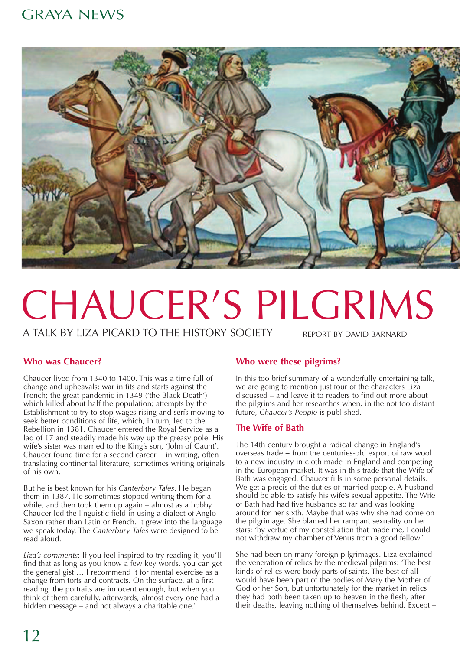

# CHAUCER'S PILGRIMS

A TALK BY LIZA PICARD TO THE HISTORY SOCIETY

REPORT BY DAVID BARNARD

# **Who was Chaucer?**

Chaucer lived from 1340 to 1400. This was a time full of change and upheavals: war in fits and starts against the French; the great pandemic in 1349 ('the Black Death') which killed about half the population; attempts by the Establishment to try to stop wages rising and serfs moving to seek better conditions of life, which, in turn, led to the Rebellion in 1381. Chaucer entered the Royal Service as a lad of 17 and steadily made his way up the greasy pole. His wife's sister was married to the King's son, 'John of Gaunt'. Chaucer found time for a second career − in writing, often translating continental literature, sometimes writing originals of his own.

But he is best known for his *Canterbury Tales*. He began them in 1387. He sometimes stopped writing them for a while, and then took them up again – almost as a hobby. Chaucer led the linguistic field in using a dialect of Anglo-Saxon rather than Latin or French. It grew into the language we speak today. The *Canterbury Tales* were designed to be read aloud.

*Liza's comments*: If you feel inspired to try reading it, you'll find that as long as you know a few key words, you can get the general gist … I recommend it for mental exercise as a change from torts and contracts. On the surface, at a first reading, the portraits are innocent enough, but when you think of them carefully, afterwards, almost every one had a hidden message – and not always a charitable one.'

# **Who were these pilgrims?**

In this too brief summary of a wonderfully entertaining talk, we are going to mention just four of the characters Liza discussed – and leave it to readers to find out more about the pilgrims and her researches when, in the not too distant future, *Chaucer's People* is published.

# **The Wife of Bath**

The 14th century brought a radical change in England's overseas trade − from the centuries-old export of raw wool to a new industry in cloth made in England and competing in the European market. It was in this trade that the Wife of Bath was engaged. Chaucer fills in some personal details. We get a precis of the duties of married people. A husband should be able to satisfy his wife's sexual appetite. The Wife of Bath had had five husbands so far and was looking around for her sixth. Maybe that was why she had come on the pilgrimage. She blamed her rampant sexuality on her stars: 'by vertue of my constellation that made me, I could not withdraw my chamber of Venus from a good fellow.'

She had been on many foreign pilgrimages. Liza explained the veneration of relics by the medieval pilgrims: 'The best kinds of relics were body parts of saints. The best of all would have been part of the bodies of Mary the Mother of God or her Son, but unfortunately for the market in relics they had both been taken up to heaven in the flesh, after their deaths, leaving nothing of themselves behind. Except –